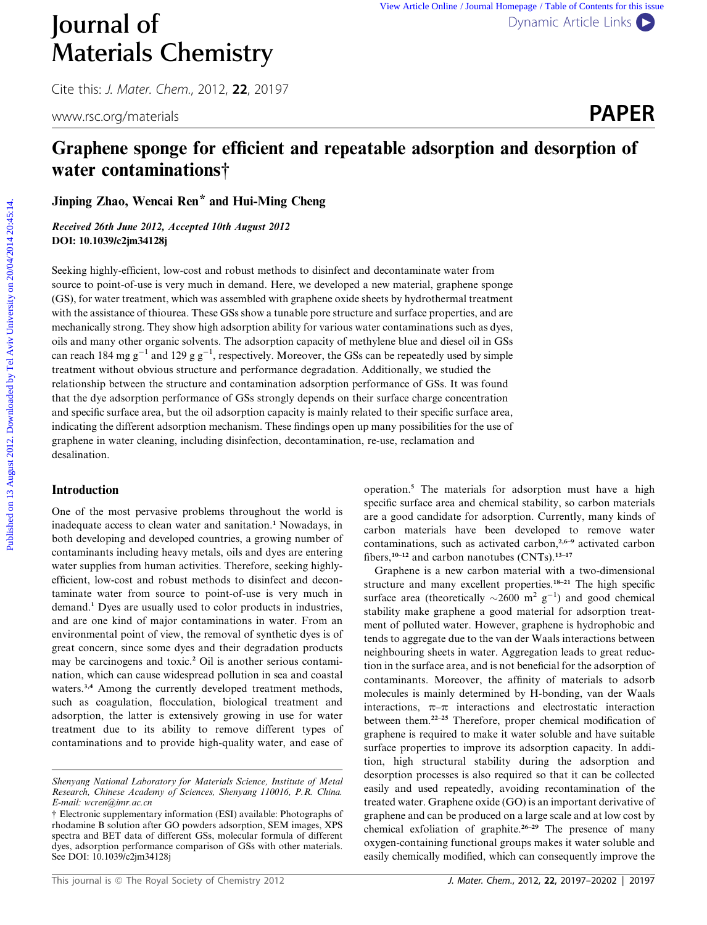# Journal of [Dynamic Article Links](http://dx.doi.org/10.1039/c2jm34128j) Materials Chemistry

Cite this: J. Mater. Chem., 2012, <sup>22</sup>, 20197

www.rsc.org/materials **PAPER** 

# Graphene sponge for efficient and repeatable adsorption and desorption of water contaminations†

Jinping Zhao, Wencai Ren\* and Hui-Ming Cheng

Received 26th June 2012, Accepted 10th August 2012 DOI: 10.1039/c2jm34128j

Seeking highly-efficient, low-cost and robust methods to disinfect and decontaminate water from source to point-of-use is very much in demand. Here, we developed a new material, graphene sponge (GS), for water treatment, which was assembled with graphene oxide sheets by hydrothermal treatment with the assistance of thiourea. These GSs show a tunable pore structure and surface properties, and are mechanically strong. They show high adsorption ability for various water contaminations such as dyes, oils and many other organic solvents. The adsorption capacity of methylene blue and diesel oil in GSs can reach 184 mg g<sup>-1</sup> and 129 g g<sup>-1</sup>, respectively. Moreover, the GSs can be repeatedly used by simple treatment without obvious structure and performance degradation. Additionally, we studied the relationship between the structure and contamination adsorption performance of GSs. It was found that the dye adsorption performance of GSs strongly depends on their surface charge concentration and specific surface area, but the oil adsorption capacity is mainly related to their specific surface area, indicating the different adsorption mechanism. These findings open up many possibilities for the use of graphene in water cleaning, including disinfection, decontamination, re-use, reclamation and desalination. **Published on 13** Published on 13 August 2012. Determined by Tel Aviv University 2012. Determined by Tel Aviv University Channel and the *State Contents of New Article Online State Contents of New Article Online State Con* 

# Introduction

One of the most pervasive problems throughout the world is inadequate access to clean water and sanitation.<sup>1</sup> Nowadays, in both developing and developed countries, a growing number of contaminants including heavy metals, oils and dyes are entering water supplies from human activities. Therefore, seeking highlyefficient, low-cost and robust methods to disinfect and decontaminate water from source to point-of-use is very much in demand.<sup>1</sup> Dyes are usually used to color products in industries, and are one kind of major contaminations in water. From an environmental point of view, the removal of synthetic dyes is of great concern, since some dyes and their degradation products may be carcinogens and toxic.<sup>2</sup> Oil is another serious contamination, which can cause widespread pollution in sea and coastal waters.<sup>3,4</sup> Among the currently developed treatment methods, such as coagulation, flocculation, biological treatment and adsorption, the latter is extensively growing in use for water treatment due to its ability to remove different types of contaminations and to provide high-quality water, and ease of

operation.<sup>5</sup> The materials for adsorption must have a high specific surface area and chemical stability, so carbon materials are a good candidate for adsorption. Currently, many kinds of carbon materials have been developed to remove water contaminations, such as activated carbon,<sup>2,6–9</sup> activated carbon fibers, $10-12$  and carbon nanotubes (CNTs). $13-17$ 

Graphene is a new carbon material with a two-dimensional structure and many excellent properties.<sup>18-21</sup> The high specific surface area (theoretically  $\sim$ 2600 m<sup>2</sup> g<sup>-1</sup>) and good chemical stability make graphene a good material for adsorption treatment of polluted water. However, graphene is hydrophobic and tends to aggregate due to the van der Waals interactions between neighbouring sheets in water. Aggregation leads to great reduction in the surface area, and is not beneficial for the adsorption of contaminants. Moreover, the affinity of materials to adsorb molecules is mainly determined by H-bonding, van der Waals interactions,  $\pi-\pi$  interactions and electrostatic interaction between them.22–25 Therefore, proper chemical modification of graphene is required to make it water soluble and have suitable surface properties to improve its adsorption capacity. In addition, high structural stability during the adsorption and desorption processes is also required so that it can be collected easily and used repeatedly, avoiding recontamination of the treated water. Graphene oxide (GO) is an important derivative of graphene and can be produced on a large scale and at low cost by chemical exfoliation of graphite.<sup>26–29</sup> The presence of many oxygen-containing functional groups makes it water soluble and easily chemically modified, which can consequently improve the

Shenyang National Laboratory for Materials Science, Institute of Metal Research, Chinese Academy of Sciences, Shenyang 110016, P.R. China. E-mail: wcren@imr.ac.cn

<sup>†</sup> Electronic supplementary information (ESI) available: Photographs of rhodamine B solution after GO powders adsorption, SEM images, XPS spectra and BET data of different GSs, molecular formula of different dyes, adsorption performance comparison of GSs with other materials. See DOI: 10.1039/c2jm34128j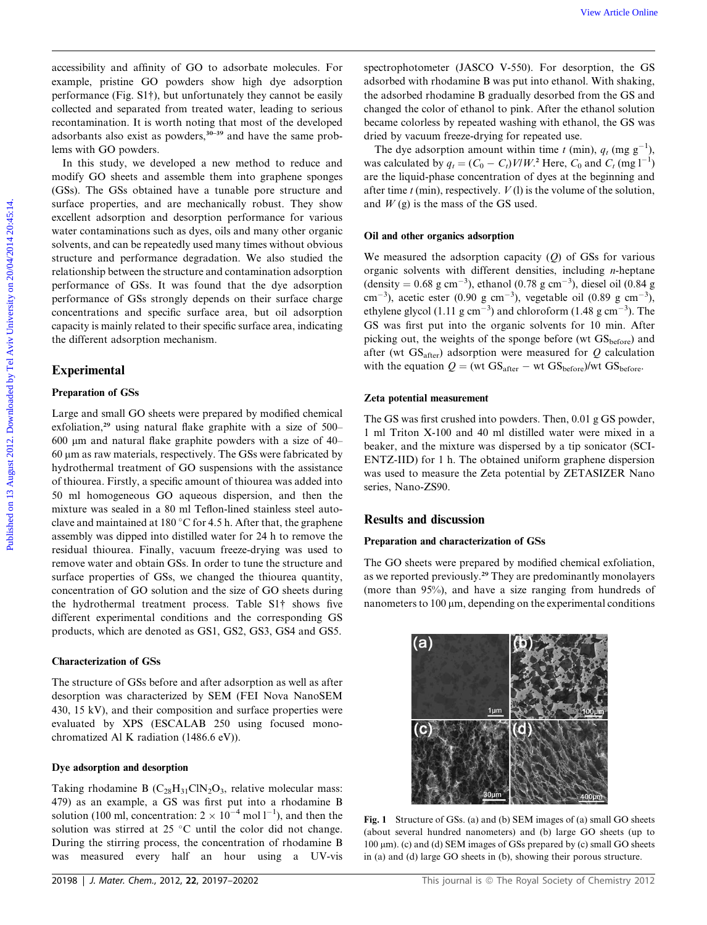accessibility and affinity of GO to adsorbate molecules. For example, pristine GO powders show high dye adsorption performance (Fig. S1†), but unfortunately they cannot be easily collected and separated from treated water, leading to serious recontamination. It is worth noting that most of the developed adsorbants also exist as powders,<sup>30–39</sup> and have the same problems with GO powders.

In this study, we developed a new method to reduce and modify GO sheets and assemble them into graphene sponges (GSs). The GSs obtained have a tunable pore structure and surface properties, and are mechanically robust. They show excellent adsorption and desorption performance for various water contaminations such as dyes, oils and many other organic solvents, and can be repeatedly used many times without obvious structure and performance degradation. We also studied the relationship between the structure and contamination adsorption performance of GSs. It was found that the dye adsorption performance of GSs strongly depends on their surface charge concentrations and specific surface area, but oil adsorption capacity is mainly related to their specific surface area, indicating the different adsorption mechanism. Vece Solity and aftering of GO to adsorbate molecular for genetropholonoter (JASCO V-550). For description, the Gaugust 2012. The control and after the second by Tel Aviv University on the second by Tel Aviv University on

# Experimental

# Preparation of GSs

Large and small GO sheets were prepared by modified chemical exfoliation,<sup>29</sup> using natural flake graphite with a size of 500–  $600 \mu m$  and natural flake graphite powders with a size of  $40 60 \mu m$  as raw materials, respectively. The GSs were fabricated by hydrothermal treatment of GO suspensions with the assistance of thiourea. Firstly, a specific amount of thiourea was added into 50 ml homogeneous GO aqueous dispersion, and then the mixture was sealed in a 80 ml Teflon-lined stainless steel autoclave and maintained at 180 $\degree$ C for 4.5 h. After that, the graphene assembly was dipped into distilled water for 24 h to remove the residual thiourea. Finally, vacuum freeze-drying was used to remove water and obtain GSs. In order to tune the structure and surface properties of GSs, we changed the thiourea quantity, concentration of GO solution and the size of GO sheets during the hydrothermal treatment process. Table S1† shows five different experimental conditions and the corresponding GS products, which are denoted as GS1, GS2, GS3, GS4 and GS5.

#### Characterization of GSs

The structure of GSs before and after adsorption as well as after desorption was characterized by SEM (FEI Nova NanoSEM 430, 15 kV), and their composition and surface properties were evaluated by XPS (ESCALAB 250 using focused monochromatized Al K radiation (1486.6 eV)).

#### Dye adsorption and desorption

Taking rhodamine B  $(C_{28}H_{31}CN_2O_3)$ , relative molecular mass: 479) as an example, a GS was first put into a rhodamine B solution (100 ml, concentration:  $2 \times 10^{-4}$  mol  $1^{-1}$ ), and then the solution was stirred at  $25^{\circ}$ C until the color did not change. During the stirring process, the concentration of rhodamine B was measured every half an hour using a UV-vis

spectrophotometer (JASCO V-550). For desorption, the GS adsorbed with rhodamine B was put into ethanol. With shaking, the adsorbed rhodamine B gradually desorbed from the GS and changed the color of ethanol to pink. After the ethanol solution became colorless by repeated washing with ethanol, the GS was dried by vacuum freeze-drying for repeated use.

The dye adsorption amount within time t (min),  $q_t$  (mg g<sup>-1</sup>), was calculated by  $q_t = (C_0 - C_t)V/W^2$ . Here,  $C_0$  and  $C_t$  (mg l<sup>-1</sup>) are the liquid-phase concentration of dyes at the beginning and after time  $t$  (min), respectively.  $V(1)$  is the volume of the solution, and  $W$  (g) is the mass of the GS used.

#### Oil and other organics adsorption

We measured the adsorption capacity  $(Q)$  of GSs for various organic solvents with different densities, including n-heptane (density = 0.68 g cm<sup>-3</sup>), ethanol (0.78 g cm<sup>-3</sup>), diesel oil (0.84 g cm<sup>-3</sup>), acetic ester (0.90 g cm<sup>-3</sup>), vegetable oil (0.89 g cm<sup>-3</sup>), ethylene glycol (1.11  $\text{g cm}^{-3}$ ) and chloroform (1.48  $\text{g cm}^{-3}$ ). The GS was first put into the organic solvents for 10 min. After picking out, the weights of the sponge before (wt  $GS<sub>before</sub>$ ) and after (wt  $GS<sub>after</sub>$ ) adsorption were measured for Q calculation with the equation  $Q = (wt GS_{after} - wt GS_{before})/wt GS_{before}$ .

#### Zeta potential measurement

The GS was first crushed into powders. Then, 0.01 g GS powder, 1 ml Triton X-100 and 40 ml distilled water were mixed in a beaker, and the mixture was dispersed by a tip sonicator (SCI-ENTZ-IID) for 1 h. The obtained uniform graphene dispersion was used to measure the Zeta potential by ZETASIZER Nano series, Nano-ZS90.

# Results and discussion

#### Preparation and characterization of GSs

The GO sheets were prepared by modified chemical exfoliation, as we reported previously.<sup>29</sup> They are predominantly monolayers (more than 95%), and have a size ranging from hundreds of nanometers to  $100 \mu m$ , depending on the experimental conditions



Fig. 1 Structure of GSs. (a) and (b) SEM images of (a) small GO sheets (about several hundred nanometers) and (b) large GO sheets (up to 100 μm). (c) and (d) SEM images of GSs prepared by (c) small GO sheets in (a) and (d) large GO sheets in (b), showing their porous structure.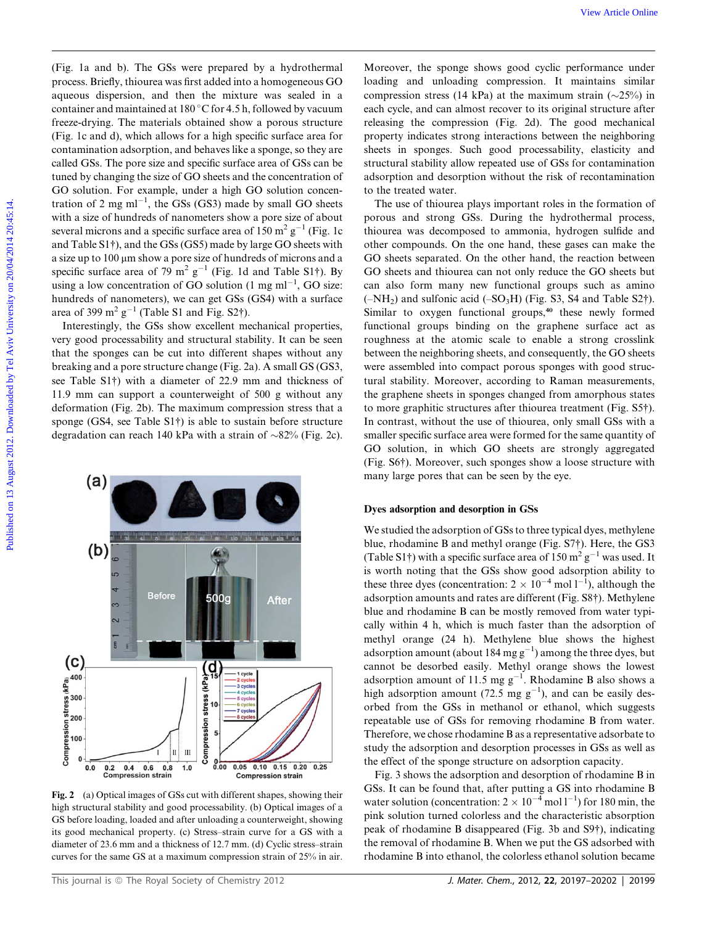(Fig. 1a and b). The GSs were prepared by a hydrothermal process. Briefly, thiourea was first added into a homogeneous GO aqueous dispersion, and then the mixture was sealed in a container and maintained at  $180^{\circ}$ C for 4.5 h, followed by vacuum freeze-drying. The materials obtained show a porous structure (Fig. 1c and d), which allows for a high specific surface area for contamination adsorption, and behaves like a sponge, so they are called GSs. The pore size and specific surface area of GSs can be tuned by changing the size of GO sheets and the concentration of GO solution. For example, under a high GO solution concentration of 2 mg  $ml^{-1}$ , the GSs (GS3) made by small GO sheets with a size of hundreds of nanometers show a pore size of about several microns and a specific surface area of  $150 \text{ m}^2 \text{ g}^{-1}$  (Fig. 1c and Table S1†), and the GSs (GS5) made by large GO sheets with a size up to 100  $\mu$ m show a pore size of hundreds of microns and a specific surface area of 79 m<sup>2</sup> g<sup>-1</sup> (Fig. 1d and Table S1†). By using a low concentration of GO solution  $(1 \text{ mg ml}^{-1}, \text{GO size})$ hundreds of nanometers), we can get GSs (GS4) with a surface area of 399 m<sup>2</sup> g<sup>-1</sup> (Table S1 and Fig. S2†).

Interestingly, the GSs show excellent mechanical properties, very good processability and structural stability. It can be seen that the sponges can be cut into different shapes without any breaking and a pore structure change (Fig. 2a). A small GS (GS3, see Table S1†) with a diameter of 22.9 mm and thickness of 11.9 mm can support a counterweight of 500 g without any deformation (Fig. 2b). The maximum compression stress that a sponge (GS4, see Table S1†) is able to sustain before structure degradation can reach 140 kPa with a strain of  $\sim 82\%$  (Fig. 2c).



curves for the same GS at a maximum compression strain of 25% in air.

Moreover, the sponge shows good cyclic performance under loading and unloading compression. It maintains similar compression stress (14 kPa) at the maximum strain  $(\sim 25\%)$  in each cycle, and can almost recover to its original structure after releasing the compression (Fig. 2d). The good mechanical property indicates strong interactions between the neighboring sheets in sponges. Such good processability, elasticity and structural stability allow repeated use of GSs for contamination adsorption and desorption without the risk of recontamination to the treated water.

The use of thiourea plays important roles in the formation of porous and strong GSs. During the hydrothermal process, thiourea was decomposed to ammonia, hydrogen sulfide and other compounds. On the one hand, these gases can make the GO sheets separated. On the other hand, the reaction between GO sheets and thiourea can not only reduce the GO sheets but can also form many new functional groups such as amino  $(-NH<sub>2</sub>)$  and sulfonic acid  $(-SO<sub>3</sub>H)$  (Fig. S3, S4 and Table S2†). Similar to oxygen functional groups,<sup>40</sup> these newly formed functional groups binding on the graphene surface act as roughness at the atomic scale to enable a strong crosslink between the neighboring sheets, and consequently, the GO sheets were assembled into compact porous sponges with good structural stability. Moreover, according to Raman measurements, the graphene sheets in sponges changed from amorphous states to more graphitic structures after thiourea treatment (Fig. S5†). In contrast, without the use of thiourea, only small GSs with a smaller specific surface area were formed for the same quantity of GO solution, in which GO sheets are strongly aggregated (Fig. S6†). Moreover, such sponges show a loose structure with many large pores that can be seen by the eye. Fig. 1a and b). The GSs were prepared by a hydrothermal Moreover, the spenge shows rood cyclic performance under<br>process. Bash, those are an august 2012. Downloaded into a bosonic column and university of the maximum stat

### Dyes adsorption and desorption in GSs

We studied the adsorption of GSs to three typical dyes, methylene blue, rhodamine B and methyl orange (Fig. S7†). Here, the GS3 (Table S1†) with a specific surface area of 150  $m^2 g^{-1}$  was used. It is worth noting that the GSs show good adsorption ability to these three dyes (concentration:  $2 \times 10^{-4}$  mol  $1^{-1}$ ), although the adsorption amounts and rates are different (Fig. S8†). Methylene blue and rhodamine B can be mostly removed from water typically within 4 h, which is much faster than the adsorption of methyl orange (24 h). Methylene blue shows the highest adsorption amount (about 184 mg  $g^{-1}$ ) among the three dyes, but cannot be desorbed easily. Methyl orange shows the lowest adsorption amount of 11.5 mg  $g^{-1}$ . Rhodamine B also shows a high adsorption amount (72.5 mg  $g^{-1}$ ), and can be easily desorbed from the GSs in methanol or ethanol, which suggests repeatable use of GSs for removing rhodamine B from water. Therefore, we chose rhodamine B as a representative adsorbate to study the adsorption and desorption processes in GSs as well as the effect of the sponge structure on adsorption capacity.

Fig. 3 shows the adsorption and desorption of rhodamine B in GSs. It can be found that, after putting a GS into rhodamine B water solution (concentration:  $2 \times 10^{-4}$  mol l<sup>-1</sup>) for 180 min, the pink solution turned colorless and the characteristic absorption peak of rhodamine B disappeared (Fig. 3b and S9†), indicating the removal of rhodamine B. When we put the GS adsorbed with rhodamine B into ethanol, the colorless ethanol solution became

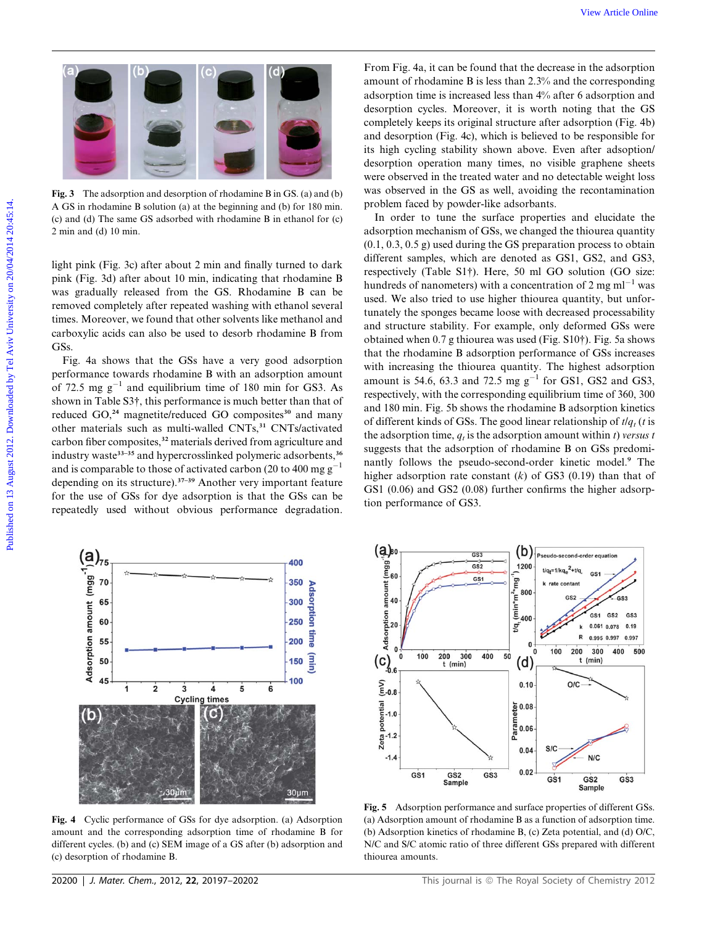

Fig. 3 The adsorption and desorption of rhodamine B in GS. (a) and (b) A GS in rhodamine B solution (a) at the beginning and (b) for 180 min. (c) and (d) The same GS adsorbed with rhodamine B in ethanol for (c) 2 min and (d) 10 min.

light pink (Fig. 3c) after about 2 min and finally turned to dark pink (Fig. 3d) after about 10 min, indicating that rhodamine B was gradually released from the GS. Rhodamine B can be removed completely after repeated washing with ethanol several times. Moreover, we found that other solvents like methanol and carboxylic acids can also be used to desorb rhodamine B from GSs.

Fig. 4a shows that the GSs have a very good adsorption performance towards rhodamine B with an adsorption amount of 72.5 mg  $g^{-1}$  and equilibrium time of 180 min for GS3. As shown in Table S3†, this performance is much better than that of reduced  $GO<sub>24</sub>$  magnetite/reduced  $GO$  composites<sup>30</sup> and many other materials such as multi-walled CNTs,<sup>31</sup> CNTs/activated carbon fiber composites,<sup>32</sup> materials derived from agriculture and industry waste<sup>33-35</sup> and hypercrosslinked polymeric adsorbents,<sup>36</sup> and is comparable to those of activated carbon (20 to 400 mg  $g^{-1}$ depending on its structure).37–39 Another very important feature for the use of GSs for dye adsorption is that the GSs can be repeatedly used without obvious performance degradation.

From Fig. 4a, it can be found that the decrease in the adsorption amount of rhodamine B is less than 2.3% and the corresponding adsorption time is increased less than 4% after 6 adsorption and desorption cycles. Moreover, it is worth noting that the GS completely keeps its original structure after adsorption (Fig. 4b) and desorption (Fig. 4c), which is believed to be responsible for its high cycling stability shown above. Even after adsoption/ desorption operation many times, no visible graphene sheets were observed in the treated water and no detectable weight loss was observed in the GS as well, avoiding the recontamination problem faced by powder-like adsorbants.

In order to tune the surface properties and elucidate the adsorption mechanism of GSs, we changed the thiourea quantity (0.1, 0.3, 0.5 g) used during the GS preparation process to obtain different samples, which are denoted as GS1, GS2, and GS3, respectively (Table S1†). Here, 50 ml GO solution (GO size: hundreds of nanometers) with a concentration of 2 mg  $ml^{-1}$  was used. We also tried to use higher thiourea quantity, but unfortunately the sponges became loose with decreased processability and structure stability. For example, only deformed GSs were obtained when 0.7 g thiourea was used (Fig. S10†). Fig. 5a shows that the rhodamine B adsorption performance of GSs increases with increasing the thiourea quantity. The highest adsorption amount is 54.6, 63.3 and 72.5 mg  $g^{-1}$  for GS1, GS2 and GS3, respectively, with the corresponding equilibrium time of 360, 300 and 180 min. Fig. 5b shows the rhodamine B adsorption kinetics of different kinds of GSs. The good linear relationship of  $t/q_t$  (t is the adsorption time,  $q_t$  is the adsorption amount within t) versus t suggests that the adsorption of rhodamine B on GSs predominantly follows the pseudo-second-order kinetic model.<sup>9</sup> The higher adsorption rate constant  $(k)$  of GS3 (0.19) than that of GS1 (0.06) and GS2 (0.08) further confirms the higher adsorption performance of GS3. From Tig. 4s, it can be found in the contract on 2012. The set of the set of the set of the set of the set of the set of the set of the set of the set of the set of the set of the set of the set of the set of the set of t



Fig. 4 Cyclic performance of GSs for dye adsorption. (a) Adsorption amount and the corresponding adsorption time of rhodamine B for different cycles. (b) and (c) SEM image of a GS after (b) adsorption and (c) desorption of rhodamine B.



Fig. 5 Adsorption performance and surface properties of different GSs. (a) Adsorption amount of rhodamine B as a function of adsorption time. (b) Adsorption kinetics of rhodamine B, (c) Zeta potential, and (d) O/C, N/C and S/C atomic ratio of three different GSs prepared with different thiourea amounts.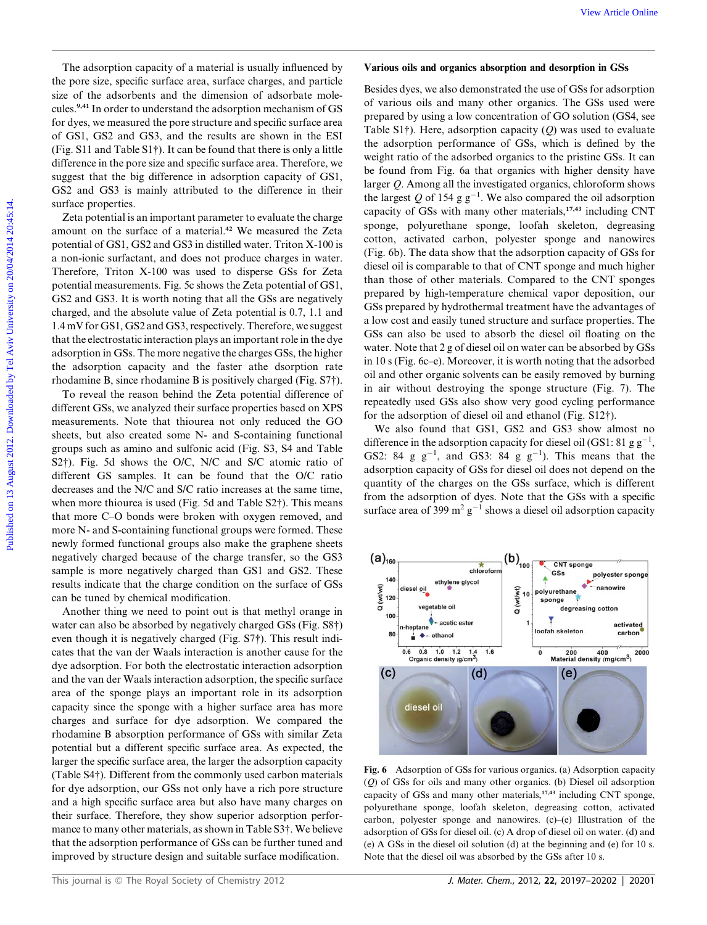The adsorption capacity of a material is usually influenced by the pore size, specific surface area, surface charges, and particle size of the adsorbents and the dimension of adsorbate molecules.9,41 In order to understand the adsorption mechanism of GS for dyes, we measured the pore structure and specific surface area of GS1, GS2 and GS3, and the results are shown in the ESI (Fig. S11 and Table S1†). It can be found that there is only a little difference in the pore size and specific surface area. Therefore, we suggest that the big difference in adsorption capacity of GS1, GS2 and GS3 is mainly attributed to the difference in their surface properties.

Zeta potential is an important parameter to evaluate the charge amount on the surface of a material.<sup>42</sup> We measured the Zeta potential of GS1, GS2 and GS3 in distilled water. Triton X-100 is a non-ionic surfactant, and does not produce charges in water. Therefore, Triton X-100 was used to disperse GSs for Zeta potential measurements. Fig. 5c shows the Zeta potential of GS1, GS2 and GS3. It is worth noting that all the GSs are negatively charged, and the absolute value of Zeta potential is 0.7, 1.1 and 1.4 mV for GS1, GS2 and GS3, respectively. Therefore, we suggest that the electrostatic interaction plays an important role in the dye adsorption in GSs. The more negative the charges GSs, the higher the adsorption capacity and the faster athe dsorption rate rhodamine B, since rhodamine B is positively charged (Fig. S7†).

To reveal the reason behind the Zeta potential difference of different GSs, we analyzed their surface properties based on XPS measurements. Note that thiourea not only reduced the GO sheets, but also created some N- and S-containing functional groups such as amino and sulfonic acid (Fig. S3, S4 and Table S2†). Fig. 5d shows the O/C, N/C and S/C atomic ratio of different GS samples. It can be found that the O/C ratio decreases and the N/C and S/C ratio increases at the same time, when more thiourea is used (Fig. 5d and Table S2†). This means that more C–O bonds were broken with oxygen removed, and more N- and S-containing functional groups were formed. These newly formed functional groups also make the graphene sheets negatively charged because of the charge transfer, so the GS3 sample is more negatively charged than GS1 and GS2. These results indicate that the charge condition on the surface of GSs can be tuned by chemical modification.

Another thing we need to point out is that methyl orange in water can also be absorbed by negatively charged GSs (Fig. S8†) even though it is negatively charged (Fig. S7†). This result indicates that the van der Waals interaction is another cause for the dye adsorption. For both the electrostatic interaction adsorption and the van der Waals interaction adsorption, the specific surface area of the sponge plays an important role in its adsorption capacity since the sponge with a higher surface area has more charges and surface for dye adsorption. We compared the rhodamine B absorption performance of GSs with similar Zeta potential but a different specific surface area. As expected, the larger the specific surface area, the larger the adsorption capacity (Table S4†). Different from the commonly used carbon materials for dye adsorption, our GSs not only have a rich pore structure and a high specific surface area but also have many charges on their surface. Therefore, they show superior adsorption performance to many other materials, as shown in Table S3†. We believe that the adsorption performance of GSs can be further tuned and improved by structure design and suitable surface modification.

of various oils and many other organics. The GSs used were prepared by using a low concentration of GO solution (GS4, see Table S1†). Here, adsorption capacity  $(Q)$  was used to evaluate the adsorption performance of GSs, which is defined by the weight ratio of the adsorbed organics to the pristine GSs. It can be found from Fig. 6a that organics with higher density have larger Q. Among all the investigated organics, chloroform shows the largest Q of 154 g  $g^{-1}$ . We also compared the oil adsorption capacity of GSs with many other materials,17,43 including CNT sponge, polyurethane sponge, loofah skeleton, degreasing cotton, activated carbon, polyester sponge and nanowires (Fig. 6b). The data show that the adsorption capacity of GSs for diesel oil is comparable to that of CNT sponge and much higher than those of other materials. Compared to the CNT sponges prepared by high-temperature chemical vapor deposition, our GSs prepared by hydrothermal treatment have the advantages of a low cost and easily tuned structure and surface properties. The GSs can also be used to absorb the diesel oil floating on the water. Note that 2 g of diesel oil on water can be absorbed by GSs in 10 s (Fig. 6c–e). Moreover, it is worth noting that the adsorbed oil and other organic solvents can be easily removed by burning in air without destroying the sponge structure (Fig. 7). The repeatedly used GSs also show very good cycling performance for the adsorption of diesel oil and ethanol (Fig. S12†). The advocation capacity of a muterial is usually infuserased by **Comission and anguests absorption and decomption in CSS**<br>
into the discussion and the dimension of disorducts mole. Besides dyes, we thus determined the two

Various oils and organics absorption and desorption in GSs

Besides dyes, we also demonstrated the use of GSs for adsorption

We also found that GS1, GS2 and GS3 show almost no difference in the adsorption capacity for diesel oil (GS1: 81 g  $g^{-1}$ , GS2: 84 g  $g^{-1}$ , and GS3: 84 g  $g^{-1}$ ). This means that the adsorption capacity of GSs for diesel oil does not depend on the quantity of the charges on the GSs surface, which is different from the adsorption of dyes. Note that the GSs with a specific surface area of 399 m<sup>2</sup> g<sup>-1</sup> shows a diesel oil adsorption capacity



Fig. 6 Adsorption of GSs for various organics. (a) Adsorption capacity (Q) of GSs for oils and many other organics. (b) Diesel oil adsorption capacity of GSs and many other materials,17,43 including CNT sponge, polyurethane sponge, loofah skeleton, degreasing cotton, activated carbon, polyester sponge and nanowires. (c)–(e) Illustration of the adsorption of GSs for diesel oil. (c) A drop of diesel oil on water. (d) and (e) A GSs in the diesel oil solution (d) at the beginning and (e) for 10 s. Note that the diesel oil was absorbed by the GSs after 10 s.